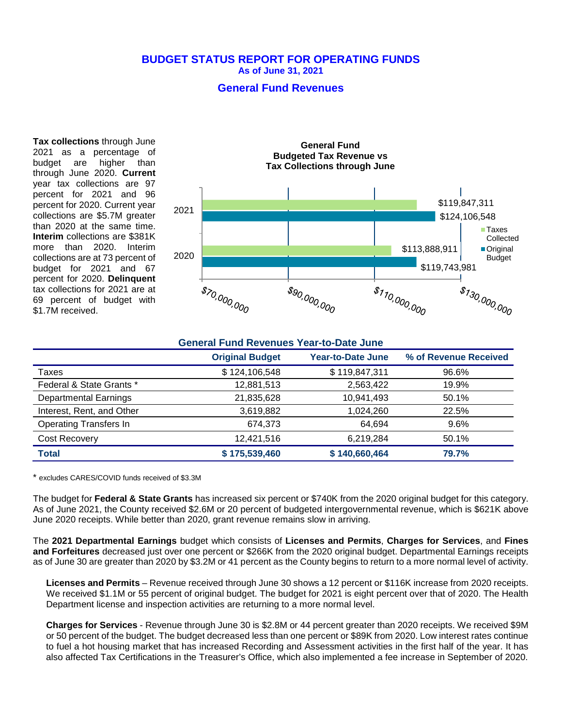#### **BUDGET STATUS REPORT FOR OPERATING FUNDS As of June 31, 2021**

### **General Fund Revenues**

**Tax collections** through June 2021 as a percentage of budget are higher than through June 2020. **Current** year tax collections are 97 percent for 2021 and 96 percent for 2020. Current year collections are \$5.7M greater than 2020 at the same time. **Interim** collections are \$381K more than 2020. Interim collections are at 73 percent of budget for 2021 and 67 percent for 2020. **Delinquent** tax collections for 2021 are at 69 percent of budget with \$1.7M received.



| <b>General Fund Revenues Year-to-Date June</b> |                        |                          |                       |  |
|------------------------------------------------|------------------------|--------------------------|-----------------------|--|
|                                                | <b>Original Budget</b> | <b>Year-to-Date June</b> | % of Revenue Received |  |
| Taxes                                          | \$124,106,548          | \$119,847,311            | 96.6%                 |  |
| Federal & State Grants *                       | 12,881,513             | 2,563,422                | 19.9%                 |  |
| <b>Departmental Earnings</b>                   | 21,835,628             | 10,941,493               | 50.1%                 |  |
| Interest, Rent, and Other                      | 3,619,882              | 1,024,260                | 22.5%                 |  |
| <b>Operating Transfers In</b>                  | 674.373                | 64.694                   | 9.6%                  |  |
| Cost Recovery                                  | 12,421,516             | 6,219,284                | 50.1%                 |  |
| <b>Total</b>                                   | \$175,539,460          | \$140,660,464            | 79.7%                 |  |

\* excludes CARES/COVID funds received of \$3.3M

The budget for **Federal & State Grants** has increased six percent or \$740K from the 2020 original budget for this category. As of June 2021, the County received \$2.6M or 20 percent of budgeted intergovernmental revenue, which is \$621K above June 2020 receipts. While better than 2020, grant revenue remains slow in arriving.

The **2021 Departmental Earnings** budget which consists of **Licenses and Permits**, **Charges for Services**, and **Fines and Forfeitures** decreased just over one percent or \$266K from the 2020 original budget. Departmental Earnings receipts as of June 30 are greater than 2020 by \$3.2M or 41 percent as the County begins to return to a more normal level of activity.

**Licenses and Permits** – Revenue received through June 30 shows a 12 percent or \$116K increase from 2020 receipts. We received \$1.1M or 55 percent of original budget. The budget for 2021 is eight percent over that of 2020. The Health Department license and inspection activities are returning to a more normal level.

**Charges for Services** - Revenue through June 30 is \$2.8M or 44 percent greater than 2020 receipts. We received \$9M or 50 percent of the budget. The budget decreased less than one percent or \$89K from 2020. Low interest rates continue to fuel a hot housing market that has increased Recording and Assessment activities in the first half of the year. It has also affected Tax Certifications in the Treasurer's Office, which also implemented a fee increase in September of 2020.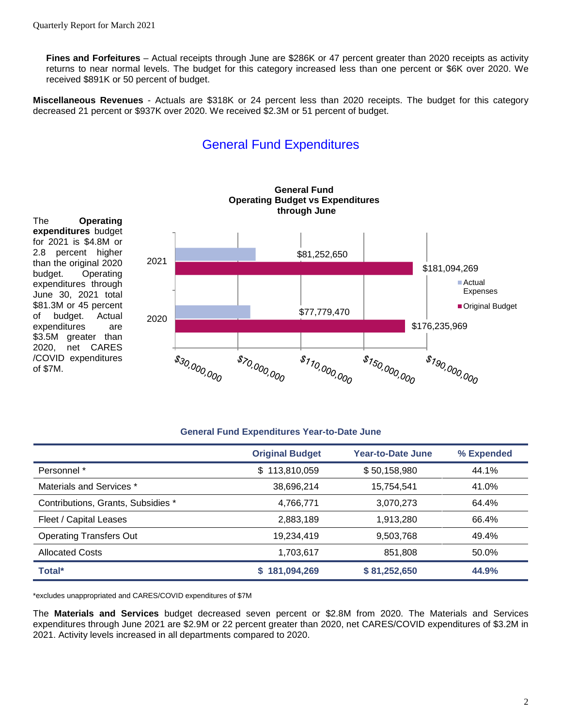of \$7M.

**Fines and Forfeitures** – Actual receipts through June are \$286K or 47 percent greater than 2020 receipts as activity returns to near normal levels. The budget for this category increased less than one percent or \$6K over 2020. We received \$891K or 50 percent of budget.

**Miscellaneous Revenues** - Actuals are \$318K or 24 percent less than 2020 receipts. The budget for this category decreased 21 percent or \$937K over 2020. We received \$2.3M or 51 percent of budget.

# General Fund Expenditures



#### **General Fund Expenditures Year-to-Date June**

|                                    | <b>Original Budget</b> | Year-to-Date June | % Expended |
|------------------------------------|------------------------|-------------------|------------|
| Personnel *                        | 113,810,059<br>\$      | \$50,158,980      | 44.1%      |
| Materials and Services *           | 38,696,214             | 15,754,541        | 41.0%      |
| Contributions, Grants, Subsidies * | 4,766,771              | 3,070,273         | 64.4%      |
| Fleet / Capital Leases             | 2,883,189              | 1,913,280         | 66.4%      |
| <b>Operating Transfers Out</b>     | 19,234,419             | 9,503,768         | 49.4%      |
| <b>Allocated Costs</b>             | 1,703,617              | 851,808           | 50.0%      |
| Total*                             | \$181,094,269          | \$81,252,650      | 44.9%      |

\*excludes unappropriated and CARES/COVID expenditures of \$7M

The **Materials and Services** budget decreased seven percent or \$2.8M from 2020. The Materials and Services expenditures through June 2021 are \$2.9M or 22 percent greater than 2020, net CARES/COVID expenditures of \$3.2M in 2021. Activity levels increased in all departments compared to 2020.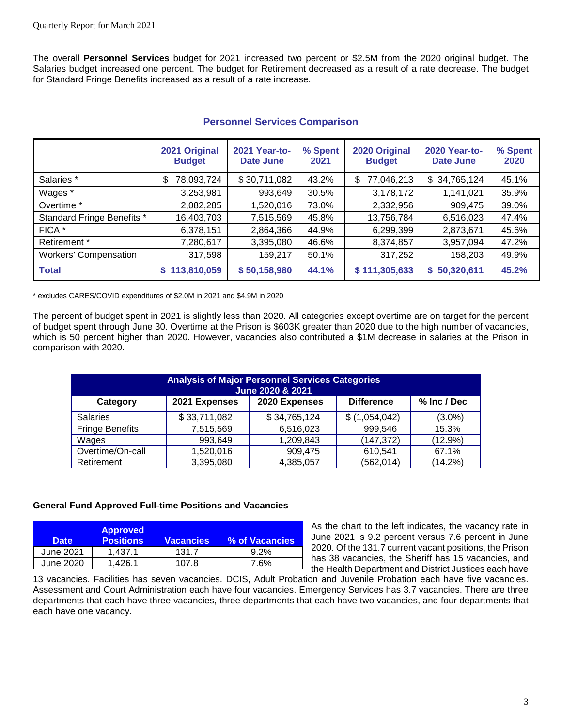The overall **Personnel Services** budget for 2021 increased two percent or \$2.5M from the 2020 original budget. The Salaries budget increased one percent. The budget for Retirement decreased as a result of a rate decrease. The budget for Standard Fringe Benefits increased as a result of a rate increase.

|                              | 2021 Original<br><b>Budget</b> | 2021 Year-to-<br>Date June | % Spent<br>2021 | 2020 Original<br><b>Budget</b> | <b>2020 Year-to-</b><br><b>Date June</b> | % Spent<br>2020 |
|------------------------------|--------------------------------|----------------------------|-----------------|--------------------------------|------------------------------------------|-----------------|
| Salaries *                   | 78,093,724<br>\$               | \$30,711,082               | 43.2%           | 77,046,213<br>S                | \$34,765,124                             | 45.1%           |
| Wages *                      | 3,253,981                      | 993,649                    | 30.5%           | 3,178,172                      | 1,141,021                                | 35.9%           |
| Overtime <sup>*</sup>        | 2,082,285                      | 1,520,016                  | 73.0%           | 2,332,956                      | 909,475                                  | 39.0%           |
| Standard Fringe Benefits *   | 16,403,703                     | 7,515,569                  | 45.8%           | 13,756,784                     | 6,516,023                                | 47.4%           |
| FICA *                       | 6,378,151                      | 2,864,366                  | 44.9%           | 6,299,399                      | 2,873,671                                | 45.6%           |
| Retirement *                 | 7,280,617                      | 3,395,080                  | 46.6%           | 8,374,857                      | 3,957,094                                | 47.2%           |
| <b>Workers' Compensation</b> | 317,598                        | 159,217                    | 50.1%           | 317,252                        | 158,203                                  | 49.9%           |
| <b>Total</b>                 | 113,810,059                    | \$50,158,980               | 44.1%           | \$111,305,633                  | \$50,320,611                             | 45.2%           |

## **Personnel Services Comparison**

\* excludes CARES/COVID expenditures of \$2.0M in 2021 and \$4.9M in 2020

The percent of budget spent in 2021 is slightly less than 2020. All categories except overtime are on target for the percent of budget spent through June 30. Overtime at the Prison is \$603K greater than 2020 due to the high number of vacancies, which is 50 percent higher than 2020. However, vacancies also contributed a \$1M decrease in salaries at the Prison in comparison with 2020.

| <b>Analysis of Major Personnel Services Categories</b><br>June 2020 & 2021 |               |               |                   |             |  |
|----------------------------------------------------------------------------|---------------|---------------|-------------------|-------------|--|
| Category                                                                   | 2021 Expenses | 2020 Expenses | <b>Difference</b> | % Inc / Dec |  |
| <b>Salaries</b>                                                            | \$33,711,082  | \$34,765,124  | (1,054,042)<br>S  | $(3.0\%)$   |  |
| <b>Fringe Benefits</b>                                                     | 7,515,569     | 6,516,023     | 999,546           | 15.3%       |  |
| Wages                                                                      | 993,649       | 1,209,843     | (147, 372)        | $(12.9\%)$  |  |
| Overtime/On-call                                                           | 1,520,016     | 909,475       | 610,541           | 67.1%       |  |
| Retirement                                                                 | 3,395,080     | 4,385,057     | (562, 014)        | (14.2%)     |  |

#### **General Fund Approved Full-time Positions and Vacancies**

| <b>Date</b> | <b>Approved</b><br><b>Positions</b> | <b>Vacancies</b> | % of Vacancies |
|-------------|-------------------------------------|------------------|----------------|
| June 2021   | 1.437.1                             | 131.7            | $9.2\%$        |
| June 2020   | 1.426.1                             | 107.8            | 7.6%           |

As the chart to the left indicates, the vacancy rate in June 2021 is 9.2 percent versus 7.6 percent in June 2020. Of the 131.7 current vacant positions, the Prison has 38 vacancies, the Sheriff has 15 vacancies, and the Health Department and District Justices each have

13 vacancies. Facilities has seven vacancies. DCIS, Adult Probation and Juvenile Probation each have five vacancies. Assessment and Court Administration each have four vacancies. Emergency Services has 3.7 vacancies. There are three departments that each have three vacancies, three departments that each have two vacancies, and four departments that each have one vacancy.